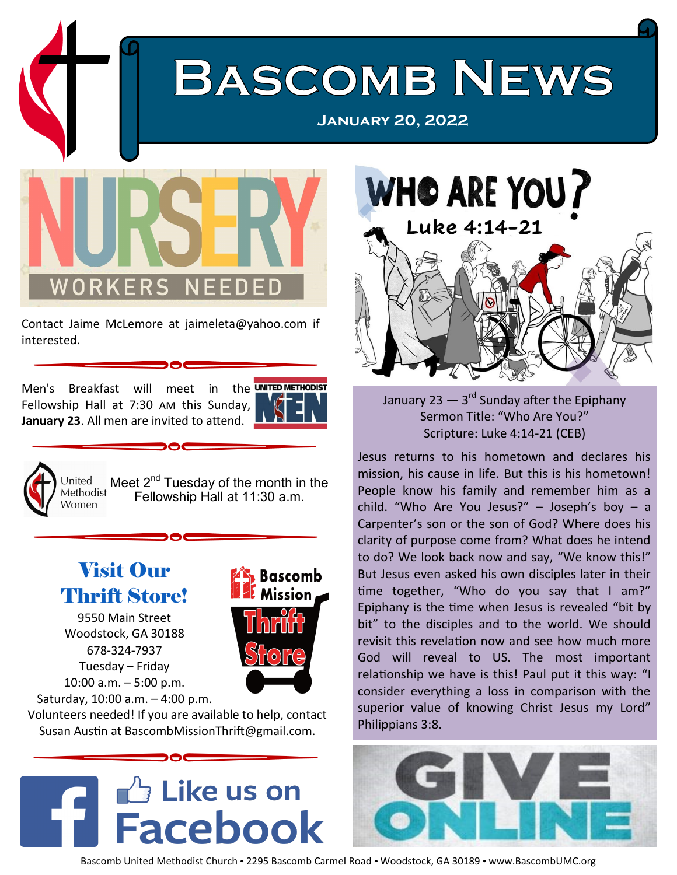

Contact Jaime McLemore at jaimeleta@yahoo.com if interested.

Men's Breakfast will meet in the UNITED METHODIST Fellowship Hall at 7:30 am this Sunday, **January 23**. All men are invited to attend.





Meet  $2^{nd}$  Tuesday of the month in the Fellowship Hall at 11:30 a.m.

## Visit Our Thrift Store!

9550 Main Street Woodstock, GA 30188 678-324-7937 Tuesday – Friday 10:00 a.m. – 5:00 p.m. Saturday, 10:00 a.m. – 4:00 p.m.



Volunteers needed! If you are available to help, contact Susan Austin at BascombMissionThrift@gmail.com.





Scripture: Luke 4:14-21 (CEB)

Jesus returns to his hometown and declares his mission, his cause in life. But this is his hometown! People know his family and remember him as a child. "Who Are You Jesus?" – Joseph's boy – a Carpenter's son or the son of God? Where does his clarity of purpose come from? What does he intend to do? We look back now and say, "We know this!" But Jesus even asked his own disciples later in their time together, "Who do you say that I am?" Epiphany is the time when Jesus is revealed "bit by bit" to the disciples and to the world. We should revisit this revelation now and see how much more God will reveal to US. The most important relationship we have is this! Paul put it this way: "I consider everything a loss in comparison with the superior value of knowing Christ Jesus my Lord" Philippians 3:8.